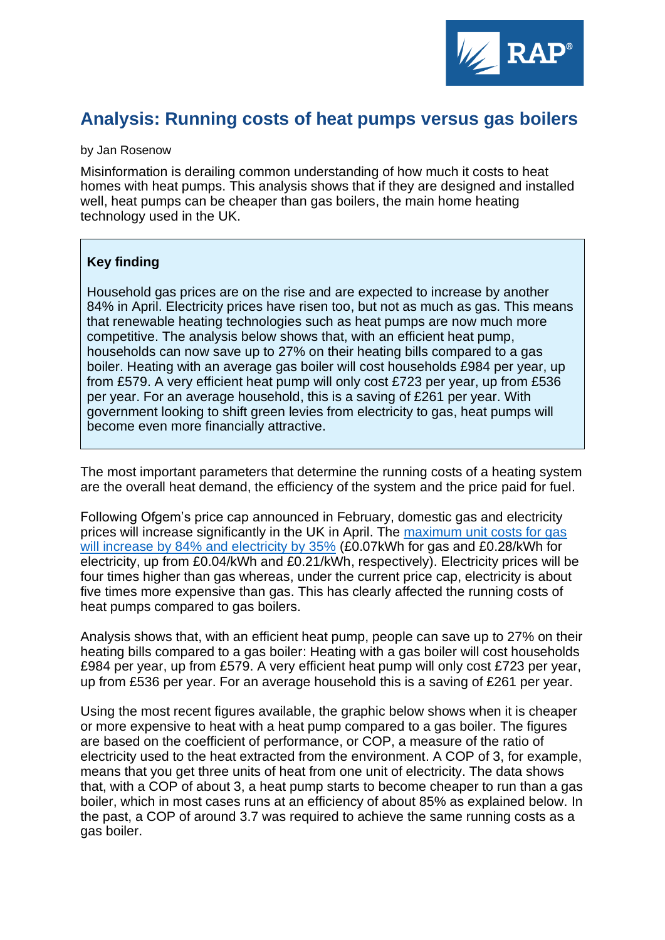

## **Analysis: Running costs of heat pumps versus gas boilers**

## by Jan Rosenow

Misinformation is derailing common understanding of how much it costs to heat homes with heat pumps. This analysis shows that if they are designed and installed well, heat pumps can be cheaper than gas boilers, the main home heating technology used in the UK.

## **Key finding**

Household gas prices are on the rise and are expected to increase by another 84% in April. Electricity prices have risen too, but not as much as gas. This means that renewable heating technologies such as heat pumps are now much more competitive. The analysis below shows that, with an efficient heat pump, households can now save up to 27% on their heating bills compared to a gas boiler. Heating with an average gas boiler will cost households £984 per year, up from £579. A very efficient heat pump will only cost £723 per year, up from £536 per year. For an average household, this is a saving of £261 per year. With government looking to shift green levies from electricity to gas, heat pumps will become even more financially attractive.

The most important parameters that determine the running costs of a heating system are the overall heat demand, the efficiency of the system and the price paid for fuel.

Following Ofgem's price cap announced in February, domestic gas and electricity prices will increase significantly in the UK in April. The [maximum unit costs for gas](https://www.ofgem.gov.uk/check-if-energy-price-cap-affects-you)  [will increase by 84% and electricity by 35%](https://www.ofgem.gov.uk/check-if-energy-price-cap-affects-you) (£0.07kWh for gas and £0.28/kWh for electricity, [up from £0.04/kWh and £0.21/kWh,](https://www.ofgem.gov.uk/check-if-energy-price-cap-affects-you) respectively). Electricity prices will be four times higher than gas whereas, under the current price cap, electricity is about five times more expensive than gas. This has clearly affected the running costs of heat pumps compared to gas boilers.

Analysis shows that, with an efficient heat pump, people can save up to 27% on their heating bills compared to a gas boiler: Heating with a gas boiler will cost households £984 per year, up from £579. A very efficient heat pump will only cost £723 per year, up from £536 per year. For an average household this is a saving of £261 per year.

Using the most recent figures available, the graphic below shows when it is cheaper or more expensive to heat with a heat pump compared to a gas boiler. The figures are based on the coefficient of performance, or COP, a measure of the ratio of electricity used to the heat extracted from the environment. A COP of 3, for example, means that you get three units of heat from one unit of electricity. The data shows that, with a COP of about 3, a heat pump starts to become cheaper to run than a gas boiler, which in most cases runs at an efficiency of about 85% as explained below. In the past, a COP of around 3.7 was required to achieve the same running costs as a gas boiler.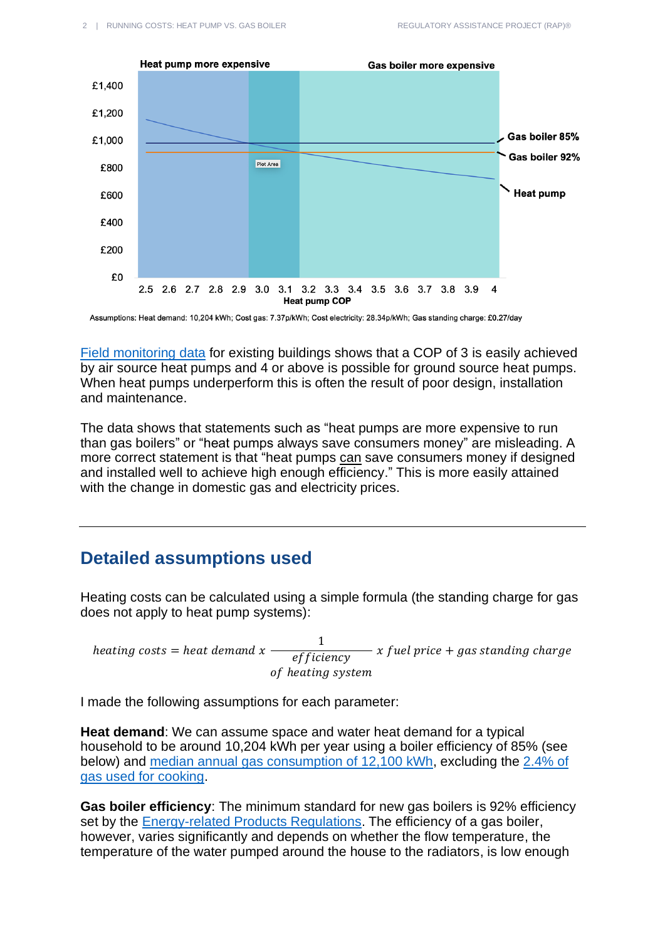

Assumptions: Heat demand: 10,204 kWh; Cost gas: 7.37p/kWh; Cost electricity: 28.34p/kWh; Gas standing charge: £0.27/day

[Field monitoring data](https://blog.innovation4e.de/en/2021/03/03/how-well-do-heat-pumps-really-work-in-existing-buildings/) for existing buildings shows that a COP of 3 is easily achieved by air source heat pumps and 4 or above is possible for ground source heat pumps. When heat pumps underperform this is often the result of poor design, installation and maintenance.

The data shows that statements such as "heat pumps are more expensive to run than gas boilers" or "heat pumps always save consumers money" are misleading. A more correct statement is that "heat pumps can save consumers money if designed and installed well to achieve high enough efficiency." This is more easily attained with the change in domestic gas and electricity prices.

## **Detailed assumptions used**

Heating costs can be calculated using a simple formula (the standing charge for gas does not apply to heat pump systems):

heating costs  $=$  heat demand x 1 efficiency of heating system  $- x$  fuel price  $+$  gas standing charge

I made the following assumptions for each parameter:

**Heat demand**: We can assume space and water heat demand for a typical household to be around 10,204 kWh per year using a boiler efficiency of 85% (see below) and [median annual gas consumption of 12,100 kWh,](https://assets.publishing.service.gov.uk/government/uploads/system/uploads/attachment_data/file/1008727/Consumption_headline_EW_2019.xlsx) excluding the [2.4% of](https://www.gov.uk/government/statistics/energy-consumption-in-the-uk-2020)  [gas used for cooking.](https://www.gov.uk/government/statistics/energy-consumption-in-the-uk-2020)

**Gas boiler efficiency**: The minimum standard for new gas boilers is 92% efficiency set by the [Energy-related Products Regulations.](https://www.theheatinghub.co.uk/are-we-being-mislead-over-boiler-efficiencies-erp-sedbuk) The efficiency of a gas boiler, however, varies significantly and depends on whether the flow temperature, the temperature of the water pumped around the house to the radiators, is low enough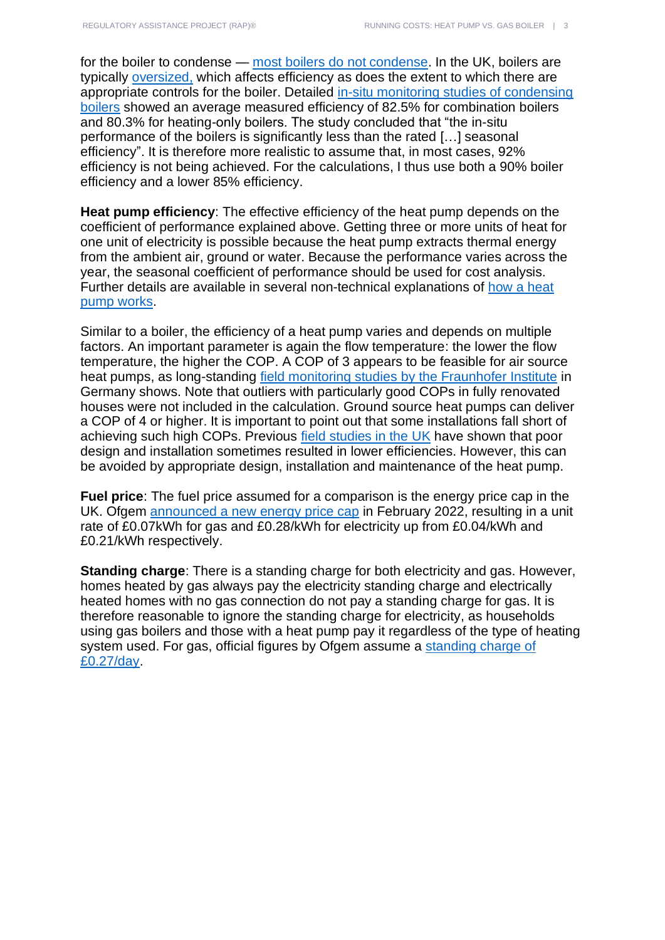for the boiler to condense — most boilers [do not condense.](https://www.theheatinghub.co.uk/why-our-condensing-boilers-do-not-condense) In the UK, boilers are typically [oversized,](https://journals.sagepub.com/doi/full/10.1177/0143624420927352) which affects efficiency as does the extent to which there are appropriate controls for the boiler. Detailed [in-situ monitoring studies of condensing](https://assets.publishing.service.gov.uk/government/uploads/system/uploads/attachment_data/file/180950/In-situ_monitoring_of_condensing_boilers_final_report.pdf)  [boilers](https://assets.publishing.service.gov.uk/government/uploads/system/uploads/attachment_data/file/180950/In-situ_monitoring_of_condensing_boilers_final_report.pdf) showed an average measured efficiency of 82.5% for combination boilers and 80.3% for heating-only boilers. The study concluded that "the in-situ performance of the boilers is significantly less than the rated […] seasonal efficiency". It is therefore more realistic to assume that, in most cases, 92% efficiency is not being achieved. For the calculations, I thus use both a 90% boiler efficiency and a lower 85% efficiency.

**Heat pump efficiency**: The effective efficiency of the heat pump depends on the coefficient of performance explained above. Getting three or more units of heat for one unit of electricity is possible because the heat pump extracts thermal energy from the ambient air, ground or water. Because the performance varies across the year, the seasonal coefficient of performance should be used for cost analysis. Further details are available in several non-technical explanations of [how a heat](https://energysavingtrust.org.uk/advice/in-depth-guide-to-heat-pumps/)  [pump works.](https://energysavingtrust.org.uk/advice/in-depth-guide-to-heat-pumps/)

Similar to a boiler, the efficiency of a heat pump varies and depends on multiple factors. An important parameter is again the flow temperature: the lower the flow temperature, the higher the COP. A COP of 3 appears to be feasible for air source heat pumps, as long-standing field monitoring studies [by the Fraunhofer Institute](https://blog.innovation4e.de/en/2021/03/03/how-well-do-heat-pumps-really-work-in-existing-buildings/) in Germany shows. Note that outliers with particularly good COPs in fully renovated houses were not included in the calculation. Ground source heat pumps can deliver a COP of 4 or higher. It is important to point out that some installations fall short of achieving such high COPs. Previous [field studies in the UK](https://assets.publishing.service.gov.uk/government/uploads/system/uploads/attachment_data/file/606818/DECC_RHPP_161214_Final_Report_v1-13.pdf) have shown that poor design and installation sometimes resulted in lower efficiencies. However, this can be avoided by appropriate design, installation and maintenance of the heat pump.

**Fuel price**: The fuel price assumed for a comparison is the energy price cap in the UK. Ofgem [announced a new energy price cap](https://www.ofgem.gov.uk/check-if-energy-price-cap-affects-you) in February 2022, resulting in a unit rate of £0.07kWh for gas and £0.28/kWh for electricity up from £0.04/kWh and £0.21/kWh respectively.

**Standing charge**: There is a standing charge for both electricity and gas. However, homes heated by gas always pay the electricity standing charge and electrically heated homes with no gas connection do not pay a standing charge for gas. It is therefore reasonable to ignore the standing charge for electricity, as households using gas boilers and those with a heat pump pay it regardless of the type of heating system used. For gas, official figures by Ofgem assume a standing charge of [£0.27/day.](https://www.ofgem.gov.uk/check-if-energy-price-cap-affects-you)